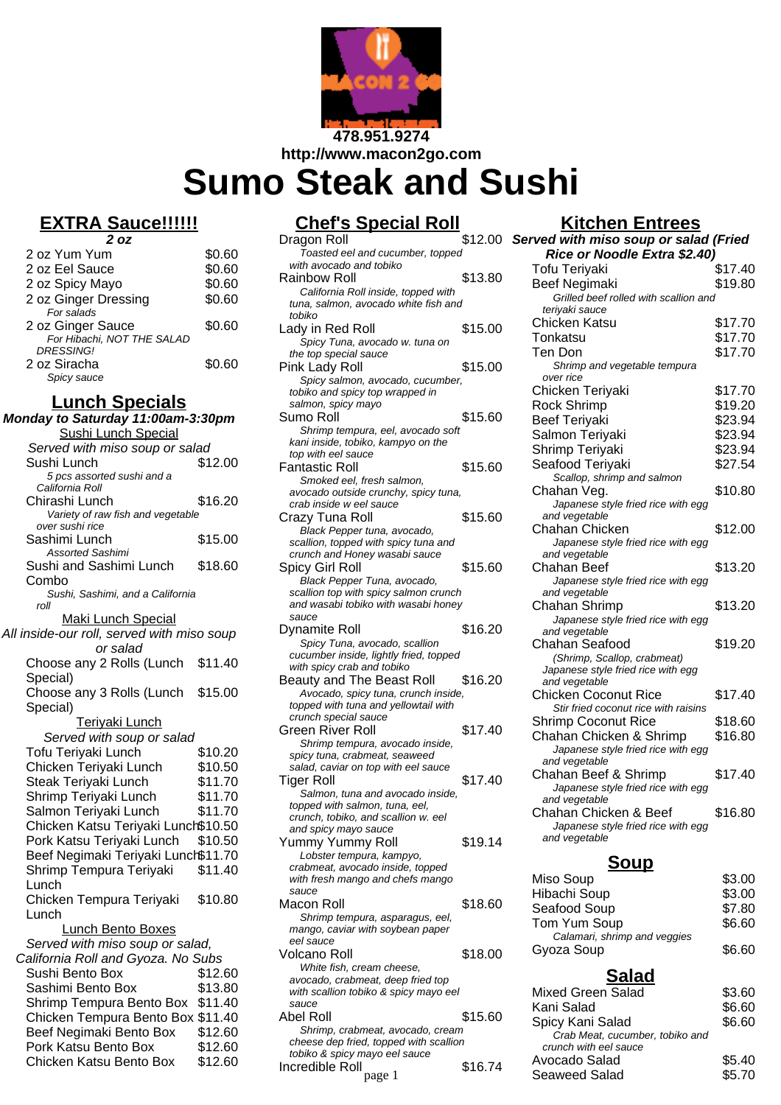

**http://www.macon2go.com**

# **Sumo Steak and Sushi**

# **EXTRA Sauce!!!!!!**

| 2 oz                                           |        |
|------------------------------------------------|--------|
| 2 oz Yum Yum                                   | \$0.60 |
| 2 oz Eel Sauce                                 | \$0.60 |
| 2 oz Spicy Mayo                                | \$0.60 |
| 2 oz Ginger Dressing                           | \$0.60 |
| For salads                                     |        |
| 2 oz Ginger Sauce                              | \$0.60 |
| For Hibachi, NOT THE SALAD<br><b>DRESSING!</b> |        |
| 2 oz Siracha                                   | \$0.60 |
| Spicy sauce                                    |        |

## **Lunch Specials**

| Monday to Saturday 11:00am-3:30pm                    |         |  |
|------------------------------------------------------|---------|--|
| <b>Sushi Lunch Special</b>                           |         |  |
| Served with miso soup or salad                       |         |  |
| Sushi Lunch                                          | \$12.00 |  |
| 5 pcs assorted sushi and a                           |         |  |
| California Roll                                      |         |  |
| Chirashi Lunch                                       | \$16.20 |  |
| Variety of raw fish and vegetable<br>over sushi rice |         |  |
| Sashimi Lunch                                        | \$15.00 |  |
| <b>Assorted Sashimi</b>                              |         |  |
| Sushi and Sashimi Lunch                              | \$18.60 |  |
| Combo                                                |         |  |
| Sushi, Sashimi, and a California                     |         |  |
| roll                                                 |         |  |
| <b>Maki Lunch Special</b>                            |         |  |
| All inside-our roll, served with miso soup           |         |  |
| or salad                                             |         |  |
| Choose any 2 Rolls (Lunch                            | \$11.40 |  |
| Special)                                             |         |  |
| Choose any 3 Rolls (Lunch                            | \$15.00 |  |
| Special)                                             |         |  |
| Teriyaki Lunch                                       |         |  |
| Served with soup or salad                            |         |  |
| Tofu Teriyaki Lunch                                  | \$10.20 |  |
| Chicken Teriyaki Lunch                               | \$10.50 |  |
| Steak Teriyaki Lunch                                 | \$11.70 |  |
| Shrimp Teriyaki Lunch                                | \$11.70 |  |
| Salmon Teriyaki Lunch                                | \$11.70 |  |
| Chicken Katsu Teriyaki Lunch\$10.50                  |         |  |
| Pork Katsu Teriyaki Lunch                            | \$10.50 |  |
| Beef Negimaki Teriyaki Lunch\$11.70                  |         |  |
| Shrimp Tempura Teriyaki                              | \$11.40 |  |
| Lunch                                                |         |  |
| Chicken Tempura Teriyaki                             | \$10.80 |  |
| Lunch                                                |         |  |
| Lunch Bento Boxes                                    |         |  |
| Served with miso soup or salad,                      |         |  |
| California Roll and Gyoza. No Subs                   |         |  |
| Sushi Bento Box                                      | \$12.60 |  |
| Sashimi Bento Box                                    | \$13.80 |  |
| Shrimp Tempura Bento Box                             | \$11.40 |  |
| Chicken Tempura Bento Box \$11.40                    |         |  |
| Beef Negimaki Bento Box                              | \$12.60 |  |
| Pork Katsu Bento Box                                 | \$12.60 |  |
| Chicken Katsu Bento Box                              | \$12.60 |  |
|                                                      |         |  |

# **Chef's Special Roll**

| Dragon Roll<br>Toasted eel and cucumber, topped                             | \$12.00 |
|-----------------------------------------------------------------------------|---------|
| with avocado and tobiko                                                     |         |
|                                                                             | \$13.80 |
| Rainbow Roll                                                                |         |
| California Roll inside, topped with<br>tuna, salmon, avocado white fish and |         |
| tobiko                                                                      |         |
|                                                                             | \$15.00 |
| Lady in Red Roll                                                            |         |
| Spicy Tuna, avocado w. tuna on                                              |         |
| the top special sauce                                                       |         |
| Pink Lady Roll                                                              | \$15.00 |
| Spicy salmon, avocado, cucumber,                                            |         |
| tobiko and spicy top wrapped in                                             |         |
| salmon, spicy mayo                                                          |         |
| Sumo Roll                                                                   | \$15.60 |
| Shrimp tempura, eel, avocado soft                                           |         |
| kani inside, tobiko, kampyo on the                                          |         |
| top with eel sauce                                                          |         |
| Fantastic Roll                                                              | \$15.60 |
| Smoked eel, fresh salmon,                                                   |         |
| avocado outside crunchy, spicy tuna,                                        |         |
| crab inside w eel sauce                                                     |         |
| Crazy Tuna Roll                                                             | \$15.60 |
| Black Pepper tuna, avocado,                                                 |         |
| scallion, topped with spicy tuna and                                        |         |
| crunch and Honey wasabi sauce                                               |         |
| Spicy Girl Roll                                                             | \$15.60 |
| Black Pepper Tuna, avocado,                                                 |         |
| scallion top with spicy salmon crunch                                       |         |
| and wasabi tobiko with wasabi honev                                         |         |
| sauce                                                                       |         |
| Dynamite Roll                                                               | \$16.20 |
| Spicy Tuna, avocado, scallion                                               |         |
| cucumber inside, lightly fried, topped                                      |         |
| with spicy crab and tobiko                                                  |         |
|                                                                             |         |
| Beauty and The Beast Roll                                                   | \$16.20 |
| Avocado, spicy tuna, crunch inside,                                         |         |
| topped with tuna and yellowtail with                                        |         |
| crunch special sauce                                                        |         |
| Green River Roll                                                            | \$17.40 |
| Shrimp tempura, avocado inside,                                             |         |
| spicy tuna, crabmeat, seaweed                                               |         |
| salad, caviar on top with eel sauce                                         |         |
| <b>Tiger Roll</b>                                                           | \$17.40 |
| Salmon, tuna and avocado inside,                                            |         |
| topped with salmon, tuna, eel,                                              |         |
| crunch, tobiko, and scallion w. eel                                         |         |
| and spicy mayo sauce                                                        |         |
| Yummy Yummy Roll                                                            | \$19.14 |
| Lobster tempura, kampyo,                                                    |         |
| crabmeat, avocado inside, topped                                            |         |
| with fresh mango and chefs mango                                            |         |
| sauce                                                                       |         |
| Macon Roll                                                                  | \$18.60 |
| Shrimp tempura, asparagus, eel,                                             |         |
| mango, caviar with soybean paper                                            |         |
| eel sauce                                                                   |         |
| Volcano Roll                                                                | \$18.00 |
| White fish, cream cheese,                                                   |         |
| avocado, crabmeat, deep fried top                                           |         |
| with scallion tobiko & spicy mayo eel                                       |         |
| sauce                                                                       |         |
| Abel Roll                                                                   | \$15.60 |
| Shrimp, crabmeat, avocado, cream                                            |         |
| cheese dep fried, topped with scallion                                      |         |
| tobiko & spicy mayo eel sauce<br>Incredible Roll                            | \$16.74 |

# **Kitchen Entrees**

| Served with miso soup or salad (Fried               |         |  |
|-----------------------------------------------------|---------|--|
| Rice or Noodle Extra \$2.40)                        |         |  |
| Tofu Teriyaki                                       | \$17.40 |  |
| <b>Beef Negimaki</b>                                | \$19.80 |  |
| Grilled beef rolled with scallion and               |         |  |
| teriyaki sauce                                      |         |  |
| <b>Chicken Katsu</b>                                | \$17.70 |  |
| Tonkatsu                                            | \$17.70 |  |
| Ten Don                                             | \$17.70 |  |
| Shrimp and vegetable tempura                        |         |  |
| over rice                                           |         |  |
| Chicken Teriyaki                                    | \$17.70 |  |
| <b>Rock Shrimp</b>                                  | \$19.20 |  |
| <b>Beef Teriyaki</b>                                | \$23.94 |  |
| Salmon Teriyaki                                     | \$23.94 |  |
| Shrimp Teriyaki                                     | \$23.94 |  |
| Seafood Teriyaki                                    | \$27.54 |  |
| Scallop, shrimp and salmon                          |         |  |
| Chahan Veg.                                         | \$10.80 |  |
| Japanese style fried rice with egg                  |         |  |
| and vegetable                                       |         |  |
| Chahan Chicken                                      | \$12.00 |  |
| Japanese style fried rice with egg                  |         |  |
| and vegetable                                       |         |  |
| <b>Chahan Beef</b>                                  | \$13.20 |  |
| Japanese style fried rice with egg<br>and vegetable |         |  |
| Chahan Shrimp                                       | \$13.20 |  |
| Japanese style fried rice with egg                  |         |  |
| and vegetable                                       |         |  |
| Chahan Seafood                                      | \$19.20 |  |
| (Shrimp, Scallop, crabmeat)                         |         |  |
| Japanese style fried rice with egg                  |         |  |
| and vegetable                                       |         |  |
| <b>Chicken Coconut Rice</b>                         | \$17.40 |  |
| Stir fried coconut rice with raisins                |         |  |
| <b>Shrimp Coconut Rice</b>                          | \$18.60 |  |
| Chahan Chicken & Shrimp                             | \$16.80 |  |
| Japanese style fried rice with egg                  |         |  |
| and vegetable                                       | \$17.40 |  |
| Chahan Beef & Shrimp                                |         |  |
| Japanese style fried rice with egg<br>and vegetable |         |  |
| Chahan Chicken & Beef                               | \$16.80 |  |
| Japanese style fried rice with egg                  |         |  |
| and vegetable                                       |         |  |

## **Soup**

| \$3.00 |
|--------|
| \$3.00 |
| \$7.80 |
| \$6.60 |
|        |
| \$6.60 |
|        |

# **Salad**

| iko & spicy mayo eel                            |         | <b>Mixed Green Salad</b>                                                     | \$3.60 |
|-------------------------------------------------|---------|------------------------------------------------------------------------------|--------|
|                                                 |         | Kani Salad                                                                   | \$6.60 |
| neat, avocado, cream<br>d, topped with scallion | \$15.60 | Spicy Kani Salad<br>Crab Meat, cucumber, tobiko and<br>crunch with eel sauce | \$6.60 |
| iavo eel sauce                                  | \$16.74 | Avocado Salad                                                                | \$5.40 |
| page 1                                          |         | <b>Seaweed Salad</b>                                                         | \$5.70 |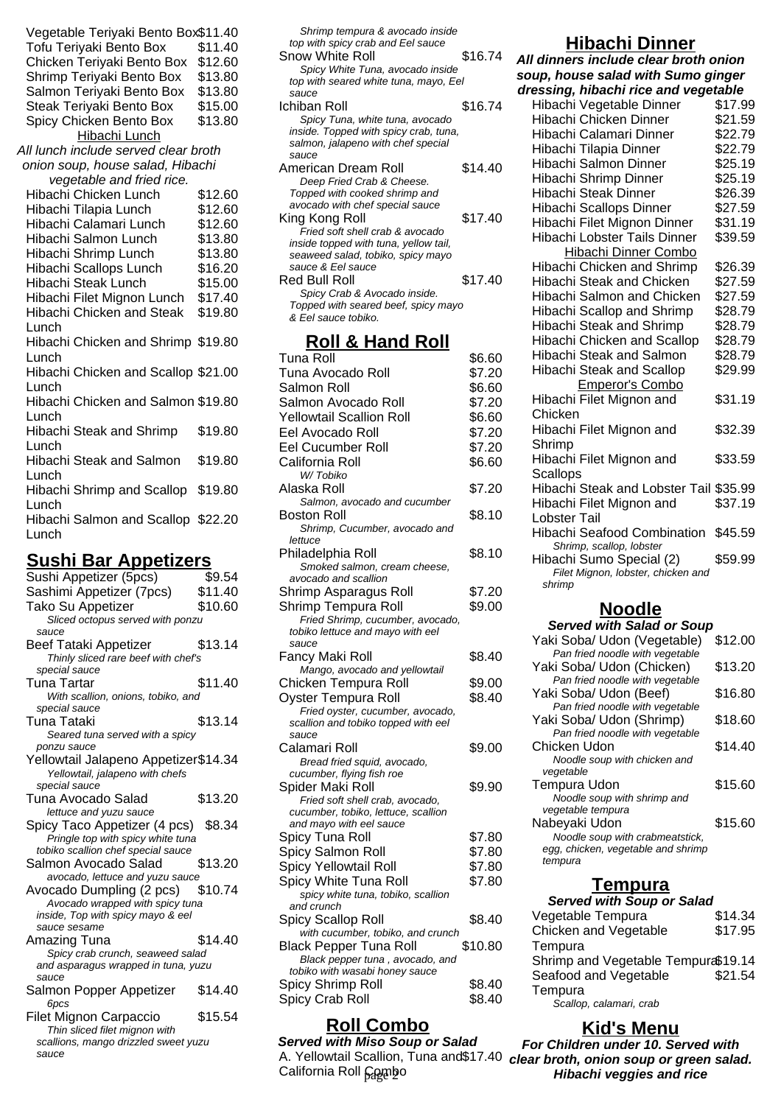| Vegetable Teriyaki Bento Box\$11.40<br>Tofu Teriyaki Bento Box<br>Chicken Teriyaki Bento Box<br>Shrimp Teriyaki Bento Box<br>Salmon Teriyaki Bento Box<br>Steak Teriyaki Bento Box<br>Spicy Chicken Bento Box<br>Hibachi Lunch | \$11.40<br>\$12.60<br>\$13.80<br>\$13.80<br>\$15.00<br>\$13.80 |
|--------------------------------------------------------------------------------------------------------------------------------------------------------------------------------------------------------------------------------|----------------------------------------------------------------|
| All lunch include served clear broth                                                                                                                                                                                           |                                                                |
| onion soup, house salad, Hibachi                                                                                                                                                                                               |                                                                |
| vegetable and fried rice.                                                                                                                                                                                                      |                                                                |
| Hibachi Chicken Lunch                                                                                                                                                                                                          | \$12.60                                                        |
| Hibachi Tilapia Lunch                                                                                                                                                                                                          | \$12.60                                                        |
| Hibachi Calamari Lunch                                                                                                                                                                                                         | \$12.60                                                        |
| Hibachi Salmon Lunch                                                                                                                                                                                                           | \$13.80                                                        |
| Hibachi Shrimp Lunch                                                                                                                                                                                                           | \$13.80                                                        |
| Hibachi Scallops Lunch                                                                                                                                                                                                         | \$16.20                                                        |
| <b>Hibachi Steak Lunch</b>                                                                                                                                                                                                     | \$15.00                                                        |
| Hibachi Filet Mignon Lunch                                                                                                                                                                                                     | \$17.40                                                        |
| <b>Hibachi Chicken and Steak</b>                                                                                                                                                                                               | \$19.80                                                        |
| Lunch                                                                                                                                                                                                                          |                                                                |
| Hibachi Chicken and Shrimp \$19.80                                                                                                                                                                                             |                                                                |
| Lunch                                                                                                                                                                                                                          |                                                                |
| Hibachi Chicken and Scallop \$21.00                                                                                                                                                                                            |                                                                |
| Lunch                                                                                                                                                                                                                          |                                                                |
| Hibachi Chicken and Salmon \$19.80                                                                                                                                                                                             |                                                                |
| Lunch                                                                                                                                                                                                                          |                                                                |
| Hibachi Steak and Shrimp                                                                                                                                                                                                       | \$19.80                                                        |
| Lunch                                                                                                                                                                                                                          |                                                                |
| <b>Hibachi Steak and Salmon</b>                                                                                                                                                                                                | \$19.80                                                        |
| Lunch                                                                                                                                                                                                                          |                                                                |
| Hibachi Shrimp and Scallop                                                                                                                                                                                                     | \$19.80                                                        |
| Lunch                                                                                                                                                                                                                          |                                                                |
| Hibachi Salmon and Scallop \$22.20<br>Lunch                                                                                                                                                                                    |                                                                |
|                                                                                                                                                                                                                                |                                                                |

## **Sushi Bar Appetizers**

| Sushi Appetizer (5pcs)                            | \$9.54  |
|---------------------------------------------------|---------|
| Sashimi Appetizer (7pcs)                          | \$11.40 |
| Tako Su Appetizer                                 | \$10.60 |
| Sliced octopus served with ponzu                  |         |
| sauce                                             |         |
| Beef Tataki Appetizer                             | \$13.14 |
| Thinly sliced rare beef with chef's               |         |
| special sauce                                     |         |
| <b>Tuna Tartar</b>                                | \$11.40 |
| With scallion, onions, tobiko, and                |         |
| special sauce                                     |         |
| Tuna Tataki                                       | \$13.14 |
| Seared tuna served with a spicy                   |         |
| ponzu sauce                                       |         |
| Yellowtail Jalapeno Appetizer\$14.34              |         |
| Yellowtail, jalapeno with chefs                   |         |
| special sauce                                     |         |
| Tuna Avocado Salad                                | \$13.20 |
| lettuce and yuzu sauce                            |         |
| Spicy Taco Appetizer (4 pcs)                      | \$8.34  |
| Pringle top with spicy white tuna                 |         |
| tobiko scallion chef special sauce                |         |
| Salmon Avocado Salad                              | \$13.20 |
| avocado, lettuce and yuzu sauce                   |         |
| Avocado Dumpling (2 pcs)                          | \$10.74 |
| Avocado wrapped with spicy tuna                   |         |
| inside, Top with spicy mayo & eel<br>sauce sesame |         |
|                                                   | \$14.40 |
| Amazing Tuna<br>Spicy crab crunch, seaweed salad  |         |
| and asparagus wrapped in tuna, yuzu               |         |
| sauce                                             |         |
| Salmon Popper Appetizer                           | \$14.40 |
| 6pcs                                              |         |
| <b>Filet Mignon Carpaccio</b>                     | \$15.54 |
| Thin sliced filet mignon with                     |         |
| scallions, mango drizzled sweet yuzu              |         |
|                                                   |         |
| sauce                                             |         |

| Shrimp tempura & avocado inside<br>top with spicy crab and Eel sauce<br>Snow White Roll<br>Spicy White Tuna, avocado inside<br>top with seared white tuna, mayo, Eel<br>sauce | \$16.74 |
|-------------------------------------------------------------------------------------------------------------------------------------------------------------------------------|---------|
| Ichiban Roll                                                                                                                                                                  | \$16.74 |
| Spicy Tuna, white tuna, avocado<br>inside. Topped with spicy crab, tuna,<br>salmon, jalapeno with chef special<br>sauce                                                       |         |
| American Dream Roll                                                                                                                                                           | \$14.40 |
| Deep Fried Crab & Cheese.<br>Topped with cooked shrimp and<br>avocado with chef special sauce                                                                                 |         |
| King Kong Roll                                                                                                                                                                | \$17.40 |
| Fried soft shell crab & avocado<br>inside topped with tuna, yellow tail,<br>seaweed salad, tobiko, spicy mayo<br>sauce & Fel sauce                                            |         |
| Red Bull Roll                                                                                                                                                                 | \$17.40 |
| Spicy Crab & Avocado inside.<br>Topped with seared beef, spicy mayo<br>& Eel sauce tobiko.                                                                                    |         |

### **Roll & Hand Roll**

| Tuna Roll<br>Tuna Avocado Roll      | \$6.60  |
|-------------------------------------|---------|
|                                     | \$7.20  |
| Salmon Roll                         | \$6.60  |
| Salmon Avocado Roll                 | \$7.20  |
| <b>Yellowtail Scallion Roll</b>     | \$6.60  |
| Eel Avocado Roll                    | \$7.20  |
| Eel Cucumber Roll                   | \$7.20  |
| California Roll                     | \$6.60  |
| W/Tobiko                            |         |
| Alaska Roll                         | \$7.20  |
| Salmon, avocado and cucumber        |         |
| Boston Roll                         | \$8.10  |
| Shrimp, Cucumber, avocado and       |         |
| lettuce                             |         |
| Philadelphia Roll                   | \$8.10  |
| Smoked salmon, cream cheese,        |         |
| avocado and scallion                |         |
| Shrimp Asparagus Roll               | \$7.20  |
| Shrimp Tempura Roll                 | \$9.00  |
| Fried Shrimp, cucumber, avocado,    |         |
| tobiko lettuce and mayo with eel    |         |
| sauce                               |         |
| Fancy Maki Roll                     | \$8.40  |
| Mango, avocado and yellowtail       |         |
| Chicken Tempura Roll                | \$9.00  |
| Oyster Tempura Roll                 | \$8.40  |
| Fried oyster, cucumber, avocado,    |         |
| scallion and tobiko topped with eel |         |
| sauce<br>Calamari Roll              | \$9.00  |
| Bread fried squid, avocado,         |         |
| cucumber, flying fish roe           |         |
| Spider Maki Roll                    | \$9.90  |
| Fried soft shell crab, avocado,     |         |
| cucumber, tobiko, lettuce, scallion |         |
| and mayo with eel sauce             |         |
| Spicy Tuna Roll                     | \$7.80  |
| Spicy Salmon Roll                   | \$7.80  |
| Spicy Yellowtail Roll               | \$7.80  |
| Spicy White Tuna Roll               | \$7.80  |
| spicy white tuna, tobiko, scallion  |         |
| and crunch                          |         |
| Spicy Scallop Roll                  | \$8.40  |
| with cucumber, tobiko, and crunch   |         |
| <b>Black Pepper Tuna Roll</b>       | \$10.80 |
| Black pepper tuna, avocado, and     |         |
| tobiko with wasabi honey sauce      |         |
| Spicy Shrimp Roll                   | \$8.40  |
| Spicy Crab Roll                     | \$8.40  |
|                                     |         |

## **Roll Combo**

**Served with Miso Soup or Salad** California Roll Cambo

#### **Hibachi Dinner**

**All dinners include clear broth onion soup, house salad with Sumo ginger dressing, hibachi rice and vegetable**

| arcoonig, mwachi nee and                     | cyclawic |
|----------------------------------------------|----------|
| Hibachi Vegetable Dinner                     | \$17.99  |
| Hibachi Chicken Dinner                       | \$21.59  |
| Hibachi Calamari Dinner                      | \$22.79  |
| Hibachi Tilapia Dinner                       | \$22.79  |
| Hibachi Salmon Dinner                        | \$25.19  |
| Hibachi Shrimp Dinner                        | \$25.19  |
| <b>Hibachi Steak Dinner</b>                  | \$26.39  |
| Hibachi Scallops Dinner                      | \$27.59  |
| Hibachi Filet Mignon Dinner                  | \$31.19  |
| Hibachi Lobster Tails Dinner                 | \$39.59  |
| Hibachi Dinner Combo                         |          |
| Hibachi Chicken and Shrimp                   | \$26.39  |
| Hibachi Steak and Chicken                    | \$27.59  |
| Hibachi Salmon and Chicken                   | \$27.59  |
| Hibachi Scallop and Shrimp                   | \$28.79  |
| Hibachi Steak and Shrimp                     | \$28.79  |
| Hibachi Chicken and Scallop                  | \$28.79  |
| <b>Hibachi Steak and Salmon</b>              | \$28.79  |
| Hibachi Steak and Scallop                    | \$29.99  |
| Emperor's Combo                              |          |
| Hibachi Filet Mignon and                     | \$31.19  |
| Chicken                                      |          |
| Hibachi Filet Mignon and                     | \$32.39  |
| Shrimp                                       |          |
| Hibachi Filet Mignon and                     | \$33.59  |
| <b>Scallops</b>                              |          |
| Hibachi Steak and Lobster Tail \$35.99       |          |
| Hibachi Filet Mignon and                     | \$37.19  |
| Lobster Tail                                 |          |
| <b>Hibachi Seafood Combination</b>           | \$45.59  |
| Shrimp, scallop, lobster                     |          |
| Hibachi Sumo Special (2)                     | \$59.99  |
| Filet Mignon, lobster, chicken and<br>shrimp |          |
|                                              |          |
| Alhoolle                                     |          |

#### **Noodle**

**Served with Salad or Soup**

| Yaki Soba/ Udon (Vegetable)        | \$12.00 |
|------------------------------------|---------|
| Pan fried noodle with vegetable    |         |
| Yaki Soba/ Udon (Chicken)          | \$13.20 |
| Pan fried noodle with vegetable    |         |
| Yaki Soba/ Udon (Beef)             | \$16.80 |
| Pan fried noodle with vegetable    |         |
| Yaki Soba/ Udon (Shrimp)           | \$18.60 |
| Pan fried noodle with vegetable    |         |
| Chicken Udon                       | \$14.40 |
| Noodle soup with chicken and       |         |
| vegetable                          |         |
| Tempura Udon                       | \$15.60 |
| Noodle soup with shrimp and        |         |
| vegetable tempura                  |         |
| Nabeyaki Udon                      | \$15.60 |
| Noodle soup with crabmeatstick,    |         |
| egg, chicken, vegetable and shrimp |         |
| tempura                            |         |

## **Tempura**

| <b>Served with Soup or Salad</b>    |         |  |
|-------------------------------------|---------|--|
| Vegetable Tempura                   | \$14.34 |  |
| Chicken and Vegetable               | \$17.95 |  |
| Tempura                             |         |  |
| Shrimp and Vegetable Tempura\$19.14 |         |  |
| Seafood and Vegetable               | \$21.54 |  |
| Tempura                             |         |  |
| Scallop, calamari, crab             |         |  |

## **Kid's Menu**

A. Yellowtail Scallion, Tuna and\$17.40 **clear broth, onion soup or green salad. For Children under 10. Served with Hibachi veggies and rice**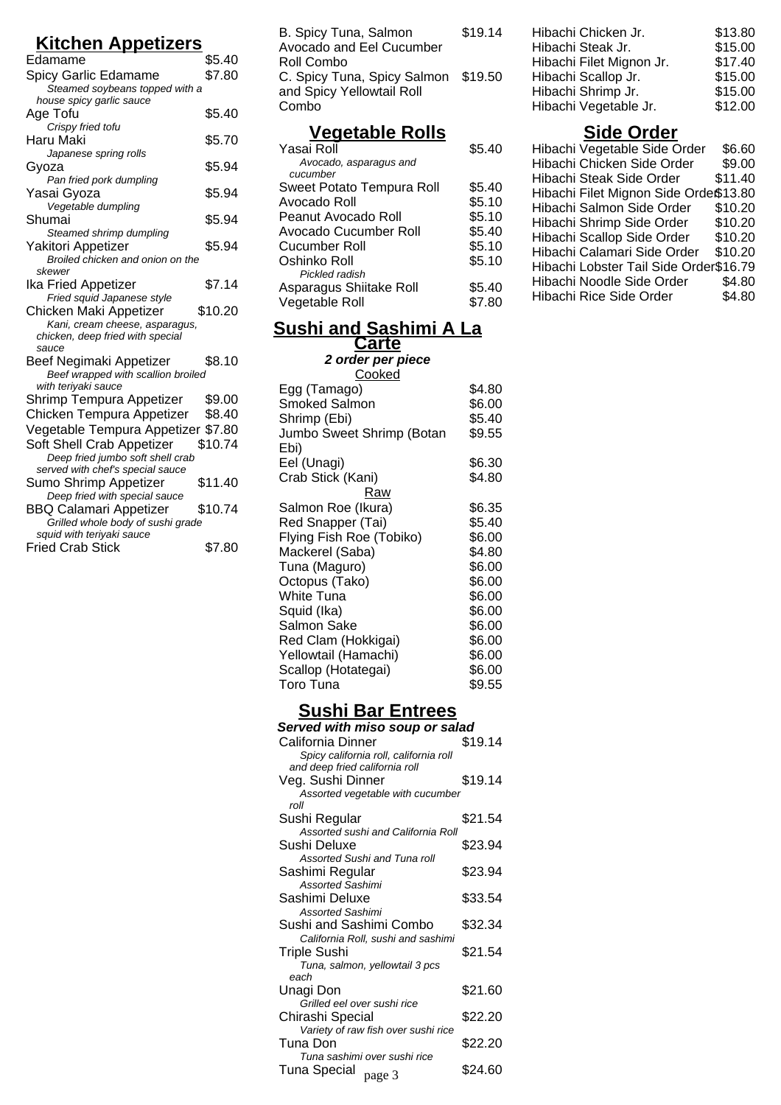## **Kitchen Appetizers**

| <u>Kitchen Appetizers</u>                              |         |  |
|--------------------------------------------------------|---------|--|
| Edamame                                                | \$5.40  |  |
| Spicy Garlic Edamame                                   | \$7.80  |  |
| Steamed soybeans topped with a                         |         |  |
| house spicy garlic sauce                               |         |  |
| Age Tofu                                               | \$5.40  |  |
| Crispy fried tofu                                      |         |  |
| Haru Maki                                              | \$5.70  |  |
| Japanese spring rolls                                  |         |  |
| Gyoza                                                  | \$5.94  |  |
| Pan fried pork dumpling                                |         |  |
| Yasai Gyoza                                            | \$5.94  |  |
| Vegetable dumpling                                     |         |  |
| Shumai                                                 | \$5.94  |  |
| Steamed shrimp dumpling                                |         |  |
| Yakitori Appetizer<br>Broiled chicken and onion on the | \$5.94  |  |
| skewer                                                 |         |  |
| Ika Fried Appetizer                                    | \$7.14  |  |
| Fried squid Japanese style                             |         |  |
| Chicken Maki Appetizer                                 | \$10.20 |  |
| Kani, cream cheese, asparagus,                         |         |  |
| chicken, deep fried with special                       |         |  |
| sauce                                                  |         |  |
| Beef Negimaki Appetizer                                | \$8.10  |  |
| Beef wrapped with scallion broiled                     |         |  |
| with teriyaki sauce                                    |         |  |
| Shrimp Tempura Appetizer                               | \$9.00  |  |
| Chicken Tempura Appetizer                              | \$8.40  |  |
| Vegetable Tempura Appetizer \$7.80                     |         |  |
| Soft Shell Crab Appetizer                              | \$10.74 |  |
| Deep fried jumbo soft shell crab                       |         |  |
| served with chef's special sauce                       |         |  |
| Sumo Shrimp Appetizer                                  | \$11.40 |  |
| Deep fried with special sauce                          |         |  |
| <b>BBQ Calamari Appetizer</b>                          | \$10.74 |  |
| Grilled whole body of sushi grade                      |         |  |
| squid with teriyaki sauce                              |         |  |
| <b>Fried Crab Stick</b>                                | \$7.80  |  |

| B. Spicy Tuna, Salmon               | \$19.14 |
|-------------------------------------|---------|
| Avocado and Eel Cucumber            |         |
| Roll Combo                          |         |
| C. Spicy Tuna, Spicy Salmon \$19.50 |         |
| and Spicy Yellowtail Roll           |         |
| Combo                               |         |
|                                     |         |

## **Vegetable Rolls**

| Yasai Roll                | \$5.40 |
|---------------------------|--------|
| Avocado, asparagus and    |        |
| cucumber                  |        |
| Sweet Potato Tempura Roll | \$5.40 |
| Avocado Roll              | \$5.10 |
| Peanut Avocado Roll       | \$5.10 |
| Avocado Cucumber Roll     | \$5.40 |
| Cucumber Roll             | \$5.10 |
| Oshinko Roll              | \$5.10 |
| Pickled radish            |        |
| Asparagus Shiitake Roll   | \$5.40 |
| Vegetable Roll            | \$7.80 |
|                           |        |

#### **Sushi and Sashimi A La Carte**

**2 order per piece**

| Cooked                    |        |
|---------------------------|--------|
| Egg (Tamago)              | \$4.80 |
| <b>Smoked Salmon</b>      | \$6.00 |
| Shrimp (Ebi)              | \$5.40 |
| Jumbo Sweet Shrimp (Botan | \$9.55 |
| Ebi)                      |        |
| Eel (Unagi)               | \$6.30 |
| Crab Stick (Kani)         | \$4.80 |
| Raw                       |        |
| Salmon Roe (Ikura)        | \$6.35 |
| Red Snapper (Tai)         | \$5.40 |
| Flying Fish Roe (Tobiko)  | \$6.00 |
| Mackerel (Saba)           | \$4.80 |
| Tuna (Maguro)             | \$6.00 |
| Octopus (Tako)            | \$6.00 |
| White Tuna                | \$6.00 |
| Squid (Ika)               | \$6.00 |
| Salmon Sake               | \$6.00 |
| Red Clam (Hokkigai)       | \$6.00 |
| Yellowtail (Hamachi)      | \$6.00 |
| Scallop (Hotategai)       | \$6.00 |
| Toro Tuna                 | \$9.55 |
|                           |        |

# **Sushi Bar Entrees**

| Served with miso soup or salad         |         |
|----------------------------------------|---------|
| California Dinner                      | \$19.14 |
| Spicy california roll, california roll |         |
| and deep fried california roll         |         |
| Veg. Sushi Dinner                      | \$19.14 |
| Assorted vegetable with cucumber       |         |
| roll                                   |         |
| Sushi Regular                          | \$21.54 |
| Assorted sushi and California Roll     |         |
| Sushi Deluxe                           | \$23.94 |
| Assorted Sushi and Tuna roll           |         |
| Sashimi Regular                        | \$23.94 |
| <b>Assorted Sashimi</b>                |         |
| Sashimi Deluxe                         | \$33.54 |
| <b>Assorted Sashimi</b>                |         |
| Sushi and Sashimi Combo                | \$32.34 |
| California Roll, sushi and sashimi     |         |
| Triple Sushi                           | \$21.54 |
| Tuna, salmon, yellowtail 3 pcs         |         |
| each                                   |         |
| Unagi Don                              | \$21.60 |
| Grilled eel over sushi rice            |         |
| Chirashi Special                       | \$22.20 |
| Variety of raw fish over sushi rice    |         |
| Tuna Don                               | \$22.20 |
| Tuna sashimi over sushi rice           |         |
| Tuna Special<br>page 3                 | \$24.60 |
|                                        |         |

| Hibachi Chicken Jr.      | \$13.80 |
|--------------------------|---------|
| Hibachi Steak Jr.        | \$15.00 |
| Hibachi Filet Mignon Jr. | \$17.40 |
| Hibachi Scallop Jr.      | \$15.00 |
| Hibachi Shrimp Jr.       | \$15.00 |
| Hibachi Vegetable Jr.    | \$12.00 |

# **Side Order**

| Hibachi Vegetable Side Order           | \$6.60  |
|----------------------------------------|---------|
| Hibachi Chicken Side Order             | \$9.00  |
| Hibachi Steak Side Order               | \$11.40 |
| Hibachi Filet Mignon Side Orde\$13.80  |         |
| Hibachi Salmon Side Order              | \$10.20 |
| Hibachi Shrimp Side Order              | \$10.20 |
| Hibachi Scallop Side Order             | \$10.20 |
| Hibachi Calamari Side Order            | \$10.20 |
| Hibachi Lobster Tail Side Order\$16.79 |         |
| Hibachi Noodle Side Order              | \$4.80  |
| Hibachi Rice Side Order                | \$4.80  |
|                                        |         |